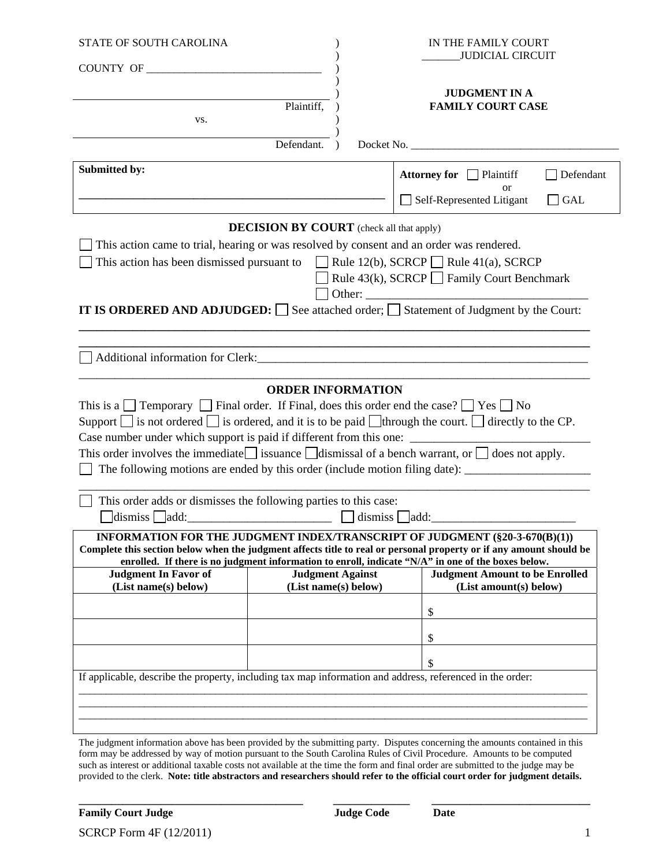| STATE OF SOUTH CAROLINA                                                                                                                                                                                                                                                                                  |                                                 |         | IN THE FAMILY COURT<br>JUDICIAL CIRCUIT                                                                                                                                                                                                                                                                                                             |  |
|----------------------------------------------------------------------------------------------------------------------------------------------------------------------------------------------------------------------------------------------------------------------------------------------------------|-------------------------------------------------|---------|-----------------------------------------------------------------------------------------------------------------------------------------------------------------------------------------------------------------------------------------------------------------------------------------------------------------------------------------------------|--|
| COUNTY OF                                                                                                                                                                                                                                                                                                |                                                 |         |                                                                                                                                                                                                                                                                                                                                                     |  |
| VS.                                                                                                                                                                                                                                                                                                      | Plaintiff,                                      |         | <b>JUDGMENT IN A</b><br><b>FAMILY COURT CASE</b>                                                                                                                                                                                                                                                                                                    |  |
|                                                                                                                                                                                                                                                                                                          | Defendant.                                      |         | Docket No.                                                                                                                                                                                                                                                                                                                                          |  |
| <b>Submitted by:</b>                                                                                                                                                                                                                                                                                     |                                                 |         | Attorney for Plaintiff<br>Defendant<br><sub>or</sub><br>Self-Represented Litigant<br><b>GAL</b><br>$\mathsf{L}$                                                                                                                                                                                                                                     |  |
|                                                                                                                                                                                                                                                                                                          | <b>DECISION BY COURT</b> (check all that apply) |         |                                                                                                                                                                                                                                                                                                                                                     |  |
| This action came to trial, hearing or was resolved by consent and an order was rendered.<br>This action has been dismissed pursuant to $\Box$ Rule 12(b), SCRCP $\Box$ Rule 41(a), SCRCP                                                                                                                 |                                                 |         | Rule 43(k), SCRCP $\Box$ Family Court Benchmark<br>IT IS ORDERED AND ADJUDGED: $\Box$ See attached order; $\Box$ Statement of Judgment by the Court:                                                                                                                                                                                                |  |
|                                                                                                                                                                                                                                                                                                          |                                                 |         | <u> 1989 - Johann Barn, mars ann an t-Amhain ann an t-Amhain ann an t-Amhain ann an t-Amhain an t-Amhain an t-Amh</u>                                                                                                                                                                                                                               |  |
| This is a $\Box$ Temporary $\Box$ Final order. If Final, does this order end the case? $\Box$ Yes $\Box$ No                                                                                                                                                                                              |                                                 |         | Support $\Box$ is not ordered $\Box$ is ordered, and it is to be paid $\Box$ through the court. $\Box$ directly to the CP.<br>This order involves the immediate issuance $\Box$ issuance $\Box$ is dench warrant, or $\Box$ does not apply.<br>The following motions are ended by this order (include motion filing date): ________________________ |  |
| This order adds or dismisses the following parties to this case:<br>dismiss  <br>add:                                                                                                                                                                                                                    |                                                 | dismiss | add:                                                                                                                                                                                                                                                                                                                                                |  |
| INFORMATION FOR THE JUDGMENT INDEX/TRANSCRIPT OF JUDGMENT (§20-3-670(B)(1))<br>Complete this section below when the judgment affects title to real or personal property or if any amount should be<br>enrolled. If there is no judgment information to enroll, indicate "N/A" in one of the boxes below. |                                                 |         |                                                                                                                                                                                                                                                                                                                                                     |  |
| <b>Judgment In Favor of</b><br>(List name(s) below)                                                                                                                                                                                                                                                      | <b>Judgment Against</b><br>(List name(s) below) |         | <b>Judgment Amount to be Enrolled</b><br>(List amount(s) below)                                                                                                                                                                                                                                                                                     |  |
|                                                                                                                                                                                                                                                                                                          |                                                 |         | \$                                                                                                                                                                                                                                                                                                                                                  |  |
|                                                                                                                                                                                                                                                                                                          |                                                 |         |                                                                                                                                                                                                                                                                                                                                                     |  |
|                                                                                                                                                                                                                                                                                                          |                                                 |         | \$                                                                                                                                                                                                                                                                                                                                                  |  |
| If applicable, describe the property, including tax map information and address, referenced in the order:                                                                                                                                                                                                |                                                 |         | \$                                                                                                                                                                                                                                                                                                                                                  |  |
|                                                                                                                                                                                                                                                                                                          |                                                 |         |                                                                                                                                                                                                                                                                                                                                                     |  |
|                                                                                                                                                                                                                                                                                                          |                                                 |         |                                                                                                                                                                                                                                                                                                                                                     |  |
|                                                                                                                                                                                                                                                                                                          |                                                 |         | The indoment information above has been provided by the submitting party. Disputes concerning the amounts contained in this                                                                                                                                                                                                                         |  |

The judgment information above has been provided by the submitting party. Disputes concerning the amounts contained in this form may be addressed by way of motion pursuant to the South Carolina Rules of Civil Procedure. Amounts to be computed such as interest or additional taxable costs not available at the time the form and final order are submitted to the judge may be provided to the clerk. **Note: title abstractors and researchers should refer to the official court order for judgment details.**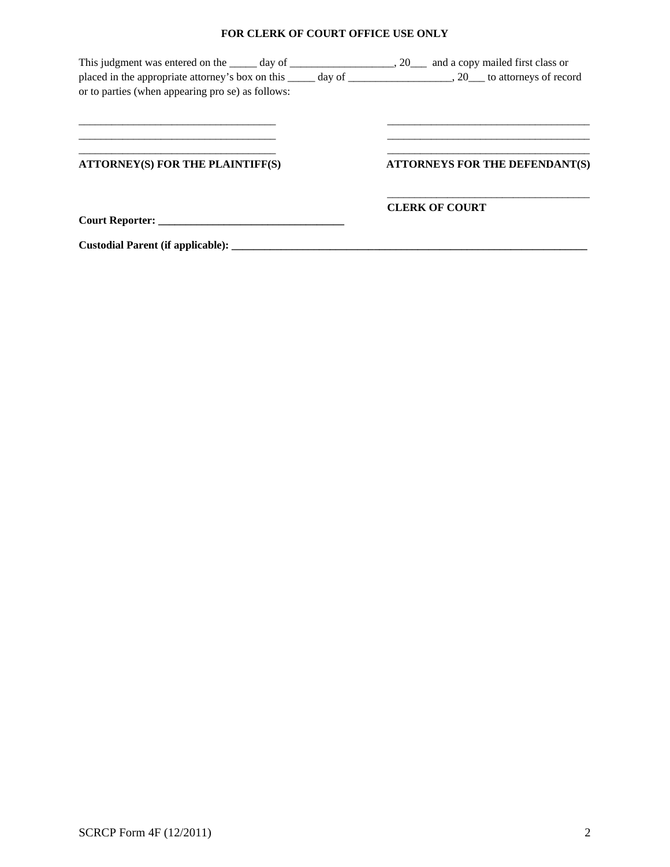## **FOR CLERK OF COURT OFFICE USE ONLY**

| This judgment was entered on the same day of same service and a copy mailed first class or |                                |
|--------------------------------------------------------------------------------------------|--------------------------------|
| or to parties (when appearing pro se) as follows:                                          |                                |
|                                                                                            |                                |
|                                                                                            |                                |
| <b>ATTORNEY(S) FOR THE PLAINTIFF(S)</b>                                                    | ATTORNEYS FOR THE DEFENDANT(S) |
|                                                                                            | <b>CLERK OF COURT</b>          |
|                                                                                            |                                |
|                                                                                            |                                |